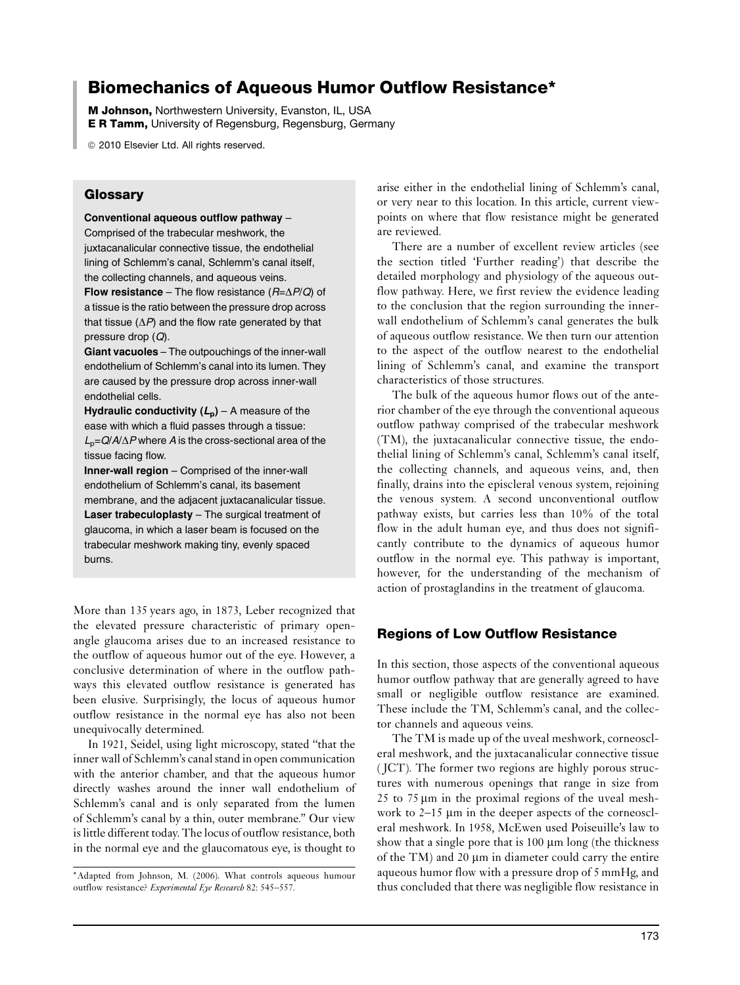# Biomechanics of Aqueous Humor Outflow Resistance\*

M Johnson, Northwestern University, Evanston, IL, USA E R Tamm, University of Regensburg, Regensburg, Germany

ã 2010 Elsevier Ltd. All rights reserved.

## **Glossary**

#### Conventional aqueous outflow pathway –

Comprised of the trabecular meshwork, the juxtacanalicular connective tissue, the endothelial lining of Schlemm's canal, Schlemm's canal itself, the collecting channels, and aqueous veins.

**Flow resistance** – The flow resistance  $(R=\Delta P/Q)$  of a tissue is the ratio between the pressure drop across that tissue  $(\Delta P)$  and the flow rate generated by that pressure drop (Q).

Giant vacuoles – The outpouchings of the inner-wall endothelium of Schlemm's canal into its lumen. They are caused by the pressure drop across inner-wall endothelial cells.

**Hydraulic conductivity**  $(L_p)$  **– A measure of the** ease with which a fluid passes through a tissue:  $L_p = Q/A/\Delta P$  where A is the cross-sectional area of the tissue facing flow.

Inner-wall region – Comprised of the inner-wall endothelium of Schlemm's canal, its basement membrane, and the adjacent juxtacanalicular tissue. Laser trabeculoplasty - The surgical treatment of glaucoma, in which a laser beam is focused on the trabecular meshwork making tiny, evenly spaced burns.

More than 135 years ago, in 1873, Leber recognized that the elevated pressure characteristic of primary openangle glaucoma arises due to an increased resistance to the outflow of aqueous humor out of the eye. However, a conclusive determination of where in the outflow pathways this elevated outflow resistance is generated has been elusive. Surprisingly, the locus of aqueous humor outflow resistance in the normal eye has also not been unequivocally determined.

In 1921, Seidel, using light microscopy, stated ''that the inner wall of Schlemm's canal stand in open communication with the anterior chamber, and that the aqueous humor directly washes around the inner wall endothelium of Schlemm's canal and is only separated from the lumen of Schlemm's canal by a thin, outer membrane.'' Our view is little different today. The locus of outflow resistance, both in the normal eye and the glaucomatous eye, is thought to

arise either in the endothelial lining of Schlemm's canal, or very near to this location. In this article, current viewpoints on where that flow resistance might be generated are reviewed.

There are a number of excellent review articles (see the section titled 'Further reading') that describe the detailed morphology and physiology of the aqueous outflow pathway. Here, we first review the evidence leading to the conclusion that the region surrounding the innerwall endothelium of Schlemm's canal generates the bulk of aqueous outflow resistance. We then turn our attention to the aspect of the outflow nearest to the endothelial lining of Schlemm's canal, and examine the transport characteristics of those structures.

The bulk of the aqueous humor flows out of the anterior chamber of the eye through the conventional aqueous outflow pathway comprised of the trabecular meshwork (TM), the juxtacanalicular connective tissue, the endothelial lining of Schlemm's canal, Schlemm's canal itself, the collecting channels, and aqueous veins, and, then finally, drains into the episcleral venous system, rejoining the venous system. A second unconventional outflow pathway exists, but carries less than 10% of the total flow in the adult human eye, and thus does not significantly contribute to the dynamics of aqueous humor outflow in the normal eye. This pathway is important, however, for the understanding of the mechanism of action of prostaglandins in the treatment of glaucoma.

## Regions of Low Outflow Resistance

In this section, those aspects of the conventional aqueous humor outflow pathway that are generally agreed to have small or negligible outflow resistance are examined. These include the TM, Schlemm's canal, and the collector channels and aqueous veins.

The TM is made up of the uveal meshwork, corneoscleral meshwork, and the juxtacanalicular connective tissue ( JCT). The former two regions are highly porous structures with numerous openings that range in size from 25 to  $75 \mu m$  in the proximal regions of the uveal meshwork to  $2-15$   $\mu$ m in the deeper aspects of the corneoscleral meshwork. In 1958, McEwen used Poiseuille's law to show that a single pore that is  $100 \mu m$  long (the thickness of the TM) and 20  $\mu$ m in diameter could carry the entire aqueous humor flow with a pressure drop of 5 mmHg, and thus concluded that there was negligible flow resistance in

<sup>\*</sup>Adapted from Johnson, M. (2006). What controls aqueous humour outflow resistance? Experimental Eye Research 82: 545-557.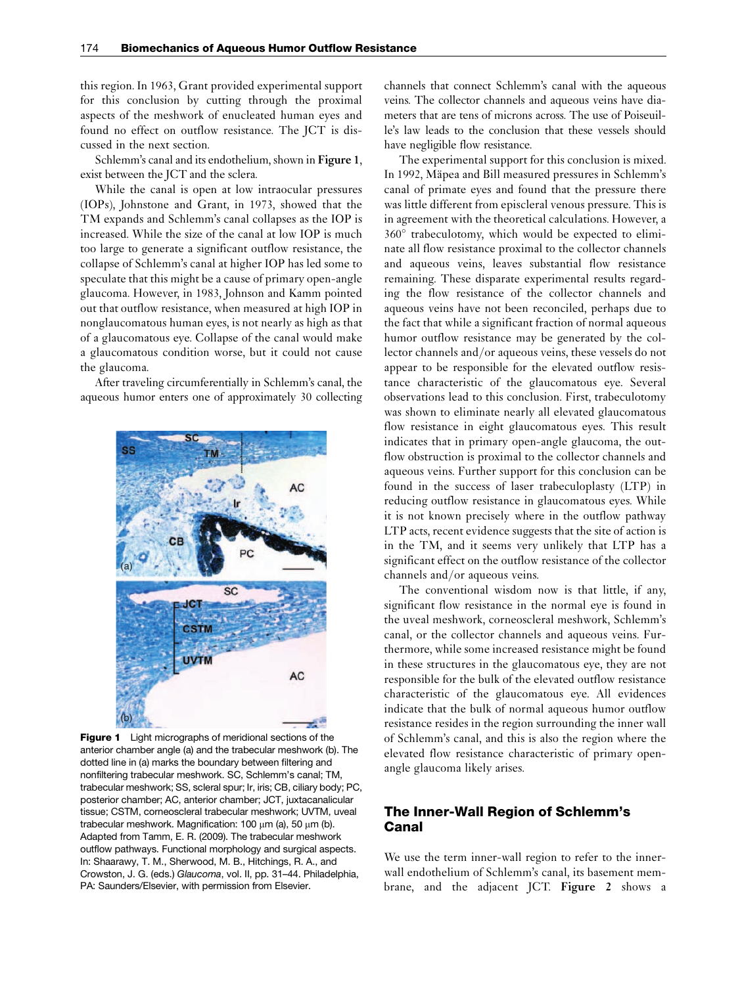this region. In 1963, Grant provided experimental support for this conclusion by cutting through the proximal aspects of the meshwork of enucleated human eyes and found no effect on outflow resistance. The JCT is discussed in the next section.

Schlemm's canal and its endothelium, shown in Figure 1, exist between the JCT and the sclera.

While the canal is open at low intraocular pressures (IOPs), Johnstone and Grant, in 1973, showed that the TM expands and Schlemm's canal collapses as the IOP is increased. While the size of the canal at low IOP is much too large to generate a significant outflow resistance, the collapse of Schlemm's canal at higher IOP has led some to speculate that this might be a cause of primary open-angle glaucoma. However, in 1983, Johnson and Kamm pointed out that outflow resistance, when measured at high IOP in nonglaucomatous human eyes, is not nearly as high as that of a glaucomatous eye. Collapse of the canal would make a glaucomatous condition worse, but it could not cause the glaucoma.

After traveling circumferentially in Schlemm's canal, the aqueous humor enters one of approximately 30 collecting



Figure 1 Light micrographs of meridional sections of the anterior chamber angle (a) and the trabecular meshwork (b). The dotted line in (a) marks the boundary between filtering and nonfiltering trabecular meshwork. SC, Schlemm's canal; TM, trabecular meshwork; SS, scleral spur; Ir, iris; CB, ciliary body; PC, posterior chamber; AC, anterior chamber; JCT, juxtacanalicular tissue; CSTM, corneoscleral trabecular meshwork; UVTM, uveal trabecular meshwork. Magnification:  $100 \mu m$  (a),  $50 \mu m$  (b). Adapted from Tamm, E. R. (2009). The trabecular meshwork outflow pathways. Functional morphology and surgical aspects. In: Shaarawy, T. M., Sherwood, M. B., Hitchings, R. A., and Crowston, J. G. (eds.) Glaucoma, vol. II, pp. 31–44. Philadelphia, PA: Saunders/Elsevier, with permission from Elsevier.

channels that connect Schlemm's canal with the aqueous veins. The collector channels and aqueous veins have diameters that are tens of microns across. The use of Poiseuille's law leads to the conclusion that these vessels should have negligible flow resistance.

The experimental support for this conclusion is mixed. In 1992, Mäpea and Bill measured pressures in Schlemm's canal of primate eyes and found that the pressure there was little different from episcleral venous pressure. This is in agreement with the theoretical calculations. However, a 360° trabeculotomy, which would be expected to eliminate all flow resistance proximal to the collector channels and aqueous veins, leaves substantial flow resistance remaining. These disparate experimental results regarding the flow resistance of the collector channels and aqueous veins have not been reconciled, perhaps due to the fact that while a significant fraction of normal aqueous humor outflow resistance may be generated by the collector channels and/or aqueous veins, these vessels do not appear to be responsible for the elevated outflow resistance characteristic of the glaucomatous eye. Several observations lead to this conclusion. First, trabeculotomy was shown to eliminate nearly all elevated glaucomatous flow resistance in eight glaucomatous eyes. This result indicates that in primary open-angle glaucoma, the outflow obstruction is proximal to the collector channels and aqueous veins. Further support for this conclusion can be found in the success of laser trabeculoplasty (LTP) in reducing outflow resistance in glaucomatous eyes. While it is not known precisely where in the outflow pathway LTP acts, recent evidence suggests that the site of action is in the TM, and it seems very unlikely that LTP has a significant effect on the outflow resistance of the collector channels and/or aqueous veins.

The conventional wisdom now is that little, if any, significant flow resistance in the normal eye is found in the uveal meshwork, corneoscleral meshwork, Schlemm's canal, or the collector channels and aqueous veins. Furthermore, while some increased resistance might be found in these structures in the glaucomatous eye, they are not responsible for the bulk of the elevated outflow resistance characteristic of the glaucomatous eye. All evidences indicate that the bulk of normal aqueous humor outflow resistance resides in the region surrounding the inner wall of Schlemm's canal, and this is also the region where the elevated flow resistance characteristic of primary openangle glaucoma likely arises.

## The Inner-Wall Region of Schlemm's Canal

We use the term inner-wall region to refer to the innerwall endothelium of Schlemm's canal, its basement membrane, and the adjacent JCT. Figure 2 shows a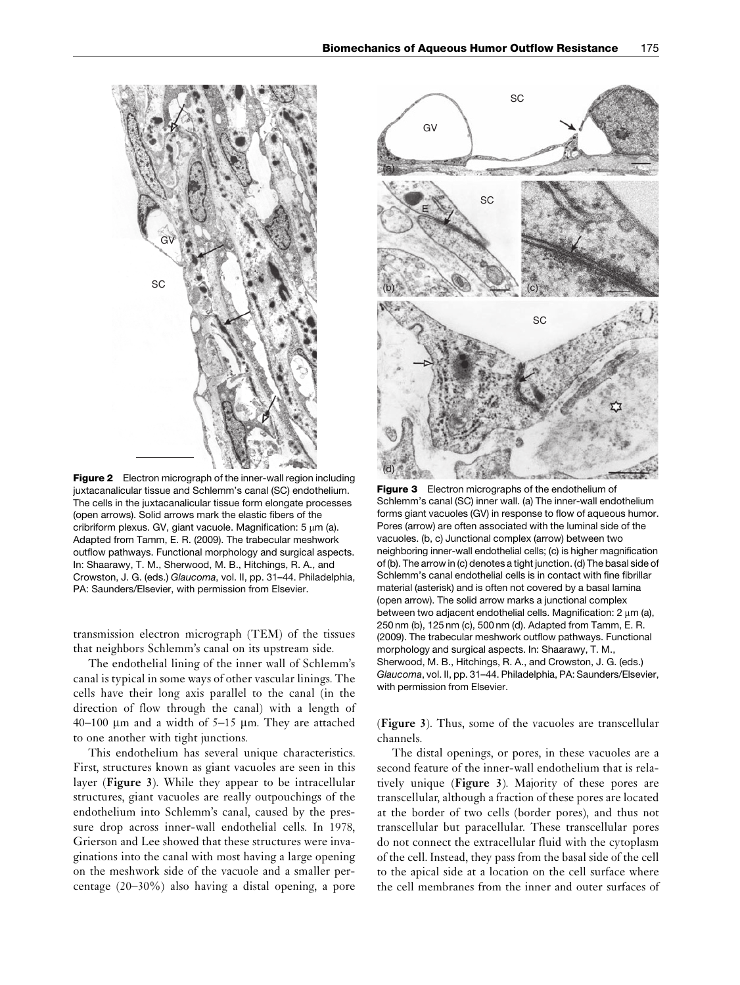

**Figure 2** Electron micrograph of the inner-wall region including juxtacanalicular tissue and Schlemm's canal (SC) endothelium. The cells in the juxtacanalicular tissue form elongate processes (open arrows). Solid arrows mark the elastic fibers of the cribriform plexus. GV, giant vacuole. Magnification:  $5 \mu m$  (a). Adapted from Tamm, E. R. (2009). The trabecular meshwork outflow pathways. Functional morphology and surgical aspects. In: Shaarawy, T. M., Sherwood, M. B., Hitchings, R. A., and Crowston, J. G. (eds.) Glaucoma, vol. II, pp. 31–44. Philadelphia, PA: Saunders/Elsevier, with permission from Elsevier.

transmission electron micrograph (TEM) of the tissues that neighbors Schlemm's canal on its upstream side.

The endothelial lining of the inner wall of Schlemm's canal is typical in some ways of other vascular linings. The cells have their long axis parallel to the canal (in the direction of flow through the canal) with a length of 40–100  $\mu$ m and a width of 5–15  $\mu$ m. They are attached to one another with tight junctions.

This endothelium has several unique characteristics. First, structures known as giant vacuoles are seen in this layer (Figure 3). While they appear to be intracellular structures, giant vacuoles are really outpouchings of the endothelium into Schlemm's canal, caused by the pressure drop across inner-wall endothelial cells. In 1978, Grierson and Lee showed that these structures were invaginations into the canal with most having a large opening on the meshwork side of the vacuole and a smaller percentage (20–30%) also having a distal opening, a pore



Figure 3 Electron micrographs of the endothelium of Schlemm's canal (SC) inner wall. (a) The inner-wall endothelium forms giant vacuoles (GV) in response to flow of aqueous humor. Pores (arrow) are often associated with the luminal side of the vacuoles. (b, c) Junctional complex (arrow) between two neighboring inner-wall endothelial cells; (c) is higher magnification of (b). The arrow in (c) denotes a tight junction. (d) The basal side of Schlemm's canal endothelial cells is in contact with fine fibrillar material (asterisk) and is often not covered by a basal lamina (open arrow). The solid arrow marks a junctional complex between two adjacent endothelial cells. Magnification:  $2 \mu m$  (a), 250 nm (b), 125 nm (c), 500 nm (d). Adapted from Tamm, E. R. (2009). The trabecular meshwork outflow pathways. Functional morphology and surgical aspects. In: Shaarawy, T. M., Sherwood, M. B., Hitchings, R. A., and Crowston, J. G. (eds.) Glaucoma, vol. II, pp. 31–44. Philadelphia, PA: Saunders/Elsevier, with permission from Elsevier.

(Figure 3). Thus, some of the vacuoles are transcellular channels.

The distal openings, or pores, in these vacuoles are a second feature of the inner-wall endothelium that is relatively unique (Figure 3). Majority of these pores are transcellular, although a fraction of these pores are located at the border of two cells (border pores), and thus not transcellular but paracellular. These transcellular pores do not connect the extracellular fluid with the cytoplasm of the cell. Instead, they pass from the basal side of the cell to the apical side at a location on the cell surface where the cell membranes from the inner and outer surfaces of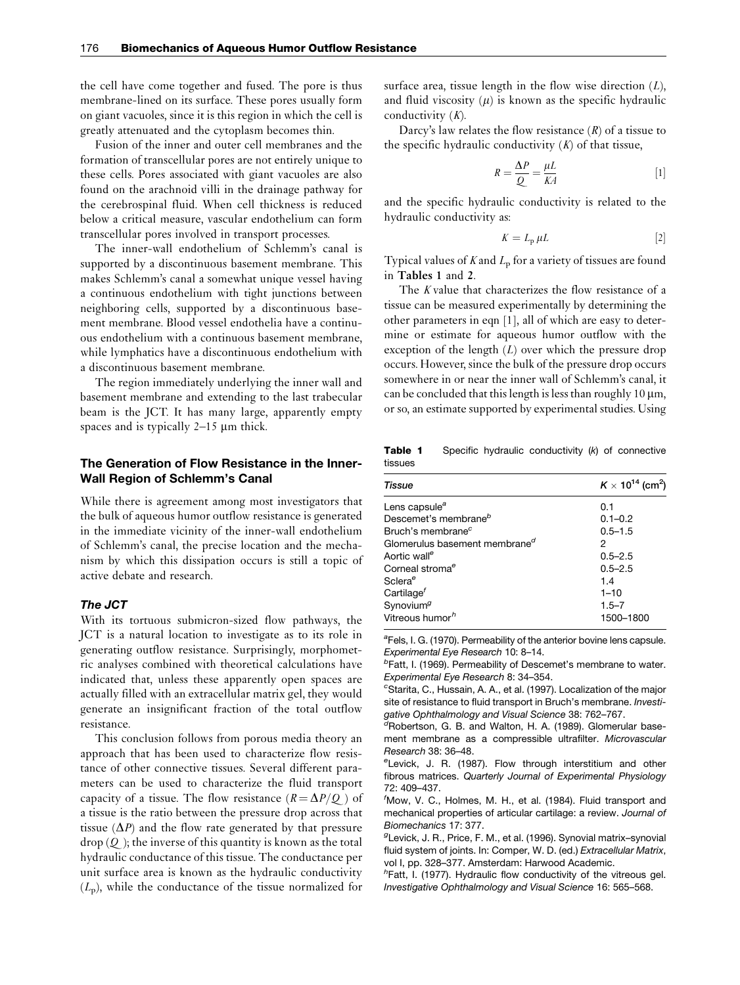the cell have come together and fused. The pore is thus membrane-lined on its surface. These pores usually form on giant vacuoles, since it is this region in which the cell is greatly attenuated and the cytoplasm becomes thin.

Fusion of the inner and outer cell membranes and the formation of transcellular pores are not entirely unique to these cells. Pores associated with giant vacuoles are also found on the arachnoid villi in the drainage pathway for the cerebrospinal fluid. When cell thickness is reduced below a critical measure, vascular endothelium can form transcellular pores involved in transport processes.

The inner-wall endothelium of Schlemm's canal is supported by a discontinuous basement membrane. This makes Schlemm's canal a somewhat unique vessel having a continuous endothelium with tight junctions between neighboring cells, supported by a discontinuous basement membrane. Blood vessel endothelia have a continuous endothelium with a continuous basement membrane, while lymphatics have a discontinuous endothelium with a discontinuous basement membrane.

The region immediately underlying the inner wall and basement membrane and extending to the last trabecular beam is the JCT. It has many large, apparently empty spaces and is typically  $2-15$  µm thick.

## The Generation of Flow Resistance in the Inner-Wall Region of Schlemm's Canal

While there is agreement among most investigators that the bulk of aqueous humor outflow resistance is generated in the immediate vicinity of the inner-wall endothelium of Schlemm's canal, the precise location and the mechanism by which this dissipation occurs is still a topic of active debate and research.

#### The JCT

With its tortuous submicron-sized flow pathways, the JCT is a natural location to investigate as to its role in generating outflow resistance. Surprisingly, morphometric analyses combined with theoretical calculations have indicated that, unless these apparently open spaces are actually filled with an extracellular matrix gel, they would generate an insignificant fraction of the total outflow resistance.

This conclusion follows from porous media theory an approach that has been used to characterize flow resistance of other connective tissues. Several different parameters can be used to characterize the fluid transport capacity of a tissue. The flow resistance  $(R = \Delta P/Q)$  of a tissue is the ratio between the pressure drop across that tissue  $(\Delta P)$  and the flow rate generated by that pressure  $drop (Q)$ ; the inverse of this quantity is known as the total hydraulic conductance of this tissue. The conductance per unit surface area is known as the hydraulic conductivity  $(L_p)$ , while the conductance of the tissue normalized for

surface area, tissue length in the flow wise direction  $(L)$ , and fluid viscosity  $(\mu)$  is known as the specific hydraulic conductivity  $(K)$ .

Darcy's law relates the flow resistance  $(R)$  of a tissue to the specific hydraulic conductivity  $(K)$  of that tissue,

$$
R = \frac{\Delta P}{Q} = \frac{\mu L}{K A} \tag{1}
$$

and the specific hydraulic conductivity is related to the hydraulic conductivity as:

$$
K = L_{\rm p} \,\mu L \tag{2}
$$

Typical values of  $K$  and  $L<sub>p</sub>$  for a variety of tissues are found in Tables 1 and 2.

The K value that characterizes the flow resistance of a tissue can be measured experimentally by determining the other parameters in eqn [1], all of which are easy to determine or estimate for aqueous humor outflow with the exception of the length  $(L)$  over which the pressure drop occurs. However, since the bulk of the pressure drop occurs somewhere in or near the inner wall of Schlemm's canal, it can be concluded that this length is less than roughly  $10 \mu m$ , or so, an estimate supported by experimental studies. Using

**Table 1** Specific hydraulic conductivity (k) of connective tissues

| Tissue                                    | $K \times 10^{14}$ (cm <sup>2</sup> ) |
|-------------------------------------------|---------------------------------------|
| Lens capsule <sup>a</sup>                 | 0.1                                   |
| Descemet's membrane <sup>b</sup>          | $0.1 - 0.2$                           |
| Bruch's membrane <sup>c</sup>             | $0.5 - 1.5$                           |
| Glomerulus basement membrane <sup>d</sup> | 2                                     |
| Aortic wall <sup>e</sup>                  | $0.5 - 2.5$                           |
| Corneal stroma <sup>e</sup>               | $0.5 - 2.5$                           |
| Sclera <sup>e</sup>                       | 1.4                                   |
| Cartilage <sup>f</sup>                    | $1 - 10$                              |
| Synovium <sup>g</sup>                     | $1.5 - 7$                             |
| Vitreous humor <sup>h</sup>               | 1500-1800                             |

<sup>a</sup>Fels, I. G. (1970). Permeability of the anterior bovine lens capsule.

*Experimental Eye Research 1*0: 8–14.<br><sup>b</sup>Fatt, I. (1969). Permeability of Descemet's membrane to water.

*Experimental Eye Research 8*: 34–354.<br><sup>c</sup>Starita, C., Hussain, A. A., et al. (1997). Localization of the major site of resistance to fluid transport in Bruch's membrane. Investi-<br>gative Ophthalmology and Visual Science 38: 762-767.

gative Ophthalmology and Visual Science 38: 762–767.<br><sup>d</sup>Robertson, G. B. and Walton, H. A. (1989). Glomerular basement membrane as a compressible ultrafilter. Microvascular Research 38: 36-48.

*Research* 38: 36–48.<br><sup>e</sup>Levick, J. R. (1987). Flow through interstitium and other fibrous matrices. Quarterly Journal of Experimental Physiology 72: 409–437.

f Mow, V. C., Holmes, M. H., et al. (1984). Fluid transport and mechanical properties of articular cartilage: a review. Journal of Biomechanics 17: 377.

*Biomechanics 17: 377.*<br><sup>g</sup>Levick, J. R., Price, F. M., et al. (1996). Synovial matrix–synovial fluid system of joints. In: Comper, W. D. (ed.) Extracellular Matrix, vol I, pp. 328–377. Amsterdam: Harwood Academic.

<sup>n</sup>Fatt, I. (1977). Hydraulic flow conductivity of the vitreous gel. Investigative Ophthalmology and Visual Science 16: 565–568.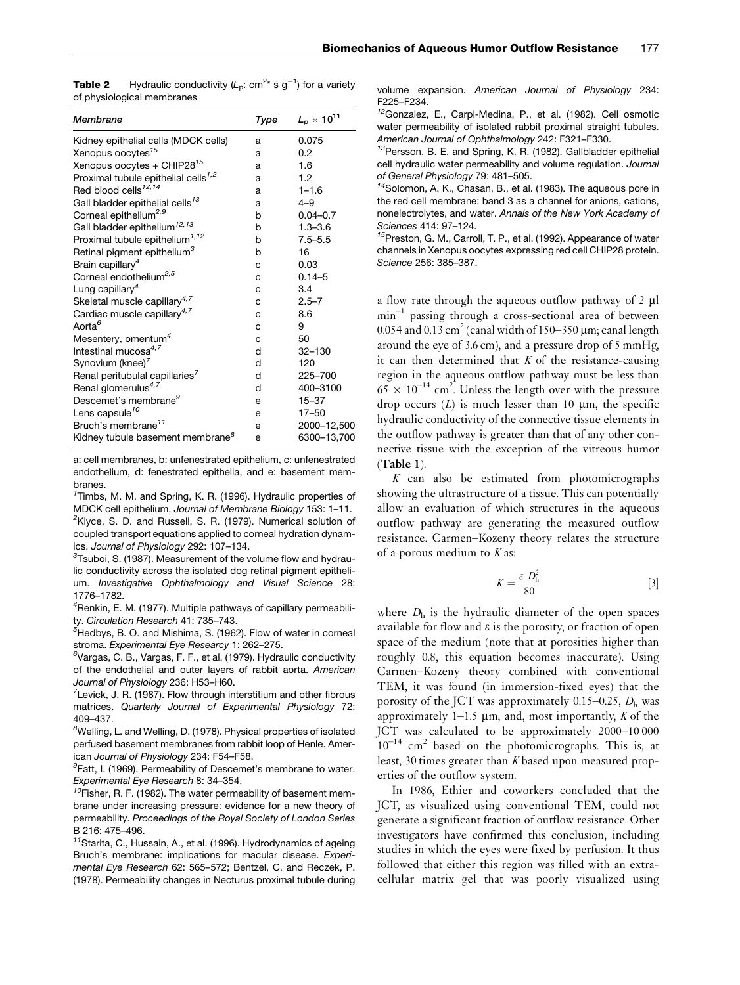**Table 2** Hydraulic conductivity ( $L_p$ : cm<sup>2</sup>\* s g<sup>-1</sup>) for a variety<br>of physiological membranes of physiological membranes

| Membrane                                        | Type | $L_p \times 10^{11}$ |
|-------------------------------------------------|------|----------------------|
| Kidney epithelial cells (MDCK cells)            | а    | 0.075                |
| Xenopus oocytes <sup>15</sup>                   | a    | 0.2                  |
| Xenopus oocytes + CHIP28 <sup>15</sup>          | a    | 1.6                  |
| Proximal tubule epithelial cells <sup>1,2</sup> | a    | 1.2                  |
| Red blood cells <sup>12,14</sup>                | a    | $1 - 1.6$            |
| Gall bladder epithelial cells <sup>13</sup>     | a    | $4 - 9$              |
| Corneal epithelium <sup>2,9</sup>               | b    | $0.04 - 0.7$         |
| Gall bladder epithelium <sup>12,13</sup>        | b    | $1.3 - 3.6$          |
| Proximal tubule epithelium <sup>1,12</sup>      | b    | $7.5 - 5.5$          |
| Retinal pigment epithelium <sup>3</sup>         | h    | 16                   |
| Brain capillary <sup>4</sup>                    | C    | 0.03                 |
| Corneal endothelium <sup>2,5</sup>              | C    | $0.14 - 5$           |
| Lung capillary <sup>4</sup>                     | C    | 3.4                  |
| Skeletal muscle capillary <sup>4,7</sup>        | C    | $2.5 - 7$            |
| Cardiac muscle capillary <sup>4,7</sup>         | C    | 8.6                  |
| Aorta <sup>6</sup>                              | C    | 9                    |
| Mesentery, omentum <sup>4</sup>                 | C    | 50                   |
| Intestinal mucosa <sup>4,7</sup>                | d    | $32 - 130$           |
| Synovium (knee) <sup>7</sup>                    | d    | 120                  |
| Renal peritubulal capillaries <sup>7</sup>      | d    | 225-700              |
| Renal glomerulus <sup>4,7</sup>                 | d    | 400-3100             |
| Descemet's membrane <sup>9</sup>                | e    | $15 - 37$            |
| Lens capsule <sup>10</sup>                      | e    | $17 - 50$            |
| Bruch's membrane <sup>77</sup>                  | e    | 2000-12,500          |
| Kidney tubule basement membrane <sup>8</sup>    | e    | 6300-13,700          |

a: cell membranes, b: unfenestrated epithelium, c: unfenestrated endothelium, d: fenestrated epithelia, and e: basement membranes.

1 Timbs, M. M. and Spring, K. R. (1996). Hydraulic properties of MDCK cell epithelium. Jo*urnal of Membrane Biology* 153: 1–11.<br><sup>2</sup>Klyce, S. D. and Russell, S. R. (1979). Numerical solution of coupled transport equations applied to corneal hydration dynam-

ics. *Journal of Physiology 2*92: 107–134.<br><sup>3</sup>Tsuboi, S. (1987). Measurement of the volume flow and hydraulic conductivity across the isolated dog retinal pigment epithelium. Investigative Ophthalmology and Visual Science 28: 1776–1782.

4 Renkin, E. M. (1977). Multiple pathways of capillary permeabili-

ty. *Circulation Research* 41: 735–743.<br><sup>5</sup>Hedbys, B. O. and Mishima, S. (1962). Flow of water in corneal

stroma. *Experimental Eye Researcy* 1: 262–275.<br><sup>6</sup>Vargas, C. B., Vargas, F. F., et al. (1979). Hydraulic conductivity of the endothelial and outer layers of rabbit aorta. American<br>Journal of Physiology 236: H53-H60.

Journal of Physiology 236: H53–H60.<br><sup>7</sup>Levick, J. R. (1987). Flow through interstitium and other fibrous matrices. Quarterly Journal of Experimental Physiology 72: 409–437.

<sup>8</sup>Welling, L. and Welling, D. (1978). Physical properties of isolated perfused basement membranes from rabbit loop of Henle. Amer-

ican *Journal of Physiology* 234: F54–F58.<br><sup>9</sup>Fatt, I. (1969). Permeability of Descemet's membrane to water.

Experimental Eye Research 8: 34–354.<br><sup>10</sup>Fisher, R. F. (1982). The water permeability of basement membrane under increasing pressure: evidence for a new theory of permeability. Proceedings of the Royal Society of London Series B 216: 475–496.

 $11$ Starita, C., Hussain, A., et al. (1996). Hydrodynamics of ageing Bruch's membrane: implications for macular disease. Experimental Eye Research 62: 565–572; Bentzel, C. and Reczek, P. (1978). Permeability changes in Necturus proximal tubule during

volume expansion. American Journal of Physiology 234: F225–F234.

<sup>12</sup>Gonzalez, E., Carpi-Medina, P., et al. (1982). Cell osmotic water permeability of isolated rabbit proximal straight tubules.

American Journal of Ophthalmology 242: F321–F330.<br><sup>13</sup>Persson, B. E. and Spring, K. R. (1982). Gallbladder epithelial cell hydraulic water permeability and volume regulation. Journal of General Physiology 79: 481-505.

 $14$ Solomon, A. K., Chasan, B., et al. (1983). The aqueous pore in the red cell membrane: band 3 as a channel for anions, cations, nonelectrolytes, and water. Annals of the New York Academy of Sciences 414: 97-124.

 $15$ Preston, G. M., Carroll, T. P., et al. (1992). Appearance of water channels in Xenopus oocytes expressing red cell CHIP28 protein. Science 256: 385–387.

a flow rate through the aqueous outflow pathway of 2 µl  $min^{-1}$  passing through a cross-sectional area of between 0.054 and 0.13 cm<sup>2</sup> (canal width of 150–350  $\mu$ m; canal length around the eye of 3.6 cm), and a pressure drop of 5 mmHg, it can then determined that  $K$  of the resistance-causing region in the aqueous outflow pathway must be less than  $65 \times 10^{-14}$  cm<sup>2</sup>. Unless the length over with the pressure drop occurs  $(L)$  is much lesser than 10  $\mu$ m, the specific hydraulic conductivity of the connective tissue elements in the outflow pathway is greater than that of any other connective tissue with the exception of the vitreous humor (Table 1).

 $K$  can also be estimated from photomicrographs showing the ultrastructure of a tissue. This can potentially allow an evaluation of which structures in the aqueous outflow pathway are generating the measured outflow resistance. Carmen–Kozeny theory relates the structure of a porous medium to  $K$  as:

$$
K = \frac{\varepsilon \ D_{\rm h}^2}{80} \tag{3}
$$

where  $D<sub>h</sub>$  is the hydraulic diameter of the open spaces available for flow and  $\varepsilon$  is the porosity, or fraction of open space of the medium (note that at porosities higher than roughly 0.8, this equation becomes inaccurate). Using Carmen–Kozeny theory combined with conventional TEM, it was found (in immersion-fixed eyes) that the porosity of the JCT was approximately 0.15–0.25,  $D_h$  was approximately 1–1.5  $\mu$ m, and, most importantly, K of the JCT was calculated to be approximately 2000–10 000  $10^{-14}$  cm<sup>2</sup> based on the photomicrographs. This is, at least, 30 times greater than K based upon measured properties of the outflow system.

In 1986, Ethier and coworkers concluded that the JCT, as visualized using conventional TEM, could not generate a significant fraction of outflow resistance. Other investigators have confirmed this conclusion, including studies in which the eyes were fixed by perfusion. It thus followed that either this region was filled with an extracellular matrix gel that was poorly visualized using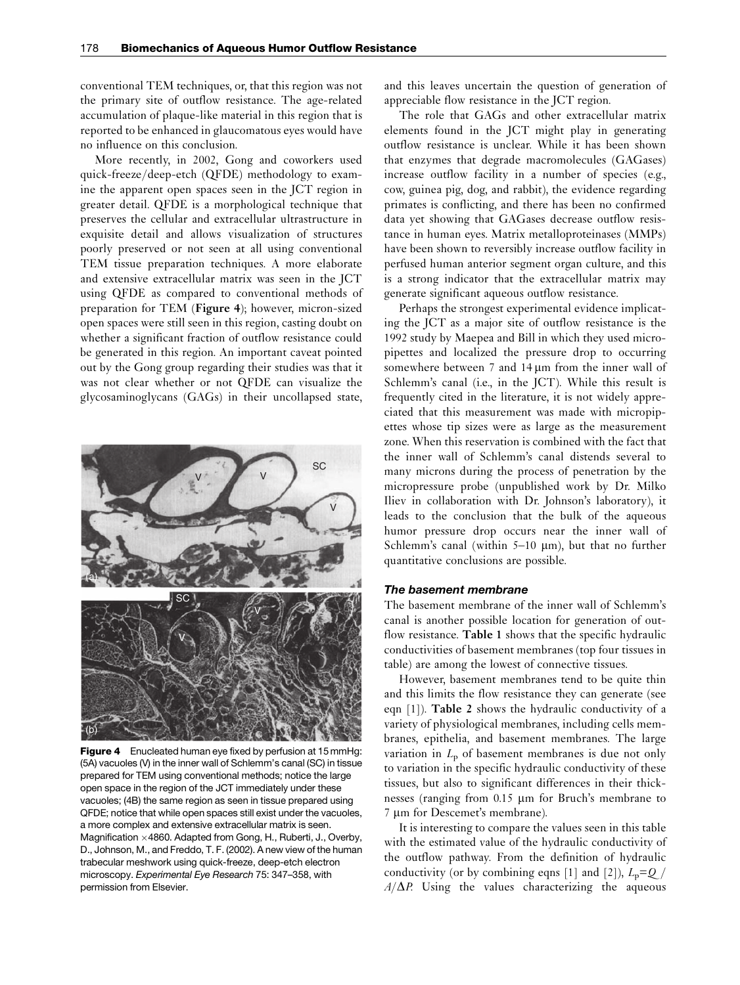conventional TEM techniques, or, that this region was not the primary site of outflow resistance. The age-related accumulation of plaque-like material in this region that is reported to be enhanced in glaucomatous eyes would have no influence on this conclusion.

More recently, in 2002, Gong and coworkers used quick-freeze/deep-etch (QFDE) methodology to examine the apparent open spaces seen in the JCT region in greater detail. QFDE is a morphological technique that preserves the cellular and extracellular ultrastructure in exquisite detail and allows visualization of structures poorly preserved or not seen at all using conventional TEM tissue preparation techniques. A more elaborate and extensive extracellular matrix was seen in the JCT using QFDE as compared to conventional methods of preparation for TEM (Figure 4); however, micron-sized open spaces were still seen in this region, casting doubt on whether a significant fraction of outflow resistance could be generated in this region. An important caveat pointed out by the Gong group regarding their studies was that it was not clear whether or not QFDE can visualize the glycosaminoglycans (GAGs) in their uncollapsed state,



Figure 4 Enucleated human eye fixed by perfusion at 15 mmHg: (5A) vacuoles (V) in the inner wall of Schlemm's canal (SC) in tissue prepared for TEM using conventional methods; notice the large open space in the region of the JCT immediately under these vacuoles; (4B) the same region as seen in tissue prepared using QFDE; notice that while open spaces still exist under the vacuoles, a more complex and extensive extracellular matrix is seen. Magnification ×4860. Adapted from Gong, H., Ruberti, J., Overby, D., Johnson, M., and Freddo, T. F. (2002). A new view of the human trabecular meshwork using quick-freeze, deep-etch electron microscopy. Experimental Eye Research 75: 347–358, with permission from Elsevier.

and this leaves uncertain the question of generation of appreciable flow resistance in the JCT region.

The role that GAGs and other extracellular matrix elements found in the JCT might play in generating outflow resistance is unclear. While it has been shown that enzymes that degrade macromolecules (GAGases) increase outflow facility in a number of species (e.g., cow, guinea pig, dog, and rabbit), the evidence regarding primates is conflicting, and there has been no confirmed data yet showing that GAGases decrease outflow resistance in human eyes. Matrix metalloproteinases (MMPs) have been shown to reversibly increase outflow facility in perfused human anterior segment organ culture, and this is a strong indicator that the extracellular matrix may generate significant aqueous outflow resistance.

Perhaps the strongest experimental evidence implicating the JCT as a major site of outflow resistance is the 1992 study by Maepea and Bill in which they used micropipettes and localized the pressure drop to occurring somewhere between 7 and  $14 \mu m$  from the inner wall of Schlemm's canal (i.e., in the JCT). While this result is frequently cited in the literature, it is not widely appreciated that this measurement was made with micropipettes whose tip sizes were as large as the measurement zone. When this reservation is combined with the fact that the inner wall of Schlemm's canal distends several to many microns during the process of penetration by the micropressure probe (unpublished work by Dr. Milko Iliev in collaboration with Dr. Johnson's laboratory), it leads to the conclusion that the bulk of the aqueous humor pressure drop occurs near the inner wall of Schlemm's canal (within  $5-10 \mu m$ ), but that no further quantitative conclusions are possible.

#### The basement membrane

The basement membrane of the inner wall of Schlemm's canal is another possible location for generation of outflow resistance. Table 1 shows that the specific hydraulic conductivities of basement membranes (top four tissues in table) are among the lowest of connective tissues.

However, basement membranes tend to be quite thin and this limits the flow resistance they can generate (see eqn [1]). Table 2 shows the hydraulic conductivity of a variety of physiological membranes, including cells membranes, epithelia, and basement membranes. The large variation in  $L_p$  of basement membranes is due not only to variation in the specific hydraulic conductivity of these tissues, but also to significant differences in their thicknesses (ranging from  $0.15 \mu m$  for Bruch's membrane to 7 μm for Descemet's membrane).

It is interesting to compare the values seen in this table with the estimated value of the hydraulic conductivity of the outflow pathway. From the definition of hydraulic conductivity (or by combining eqns [1] and [2]),  $L_p=Q$  $A/\Delta P$ . Using the values characterizing the aqueous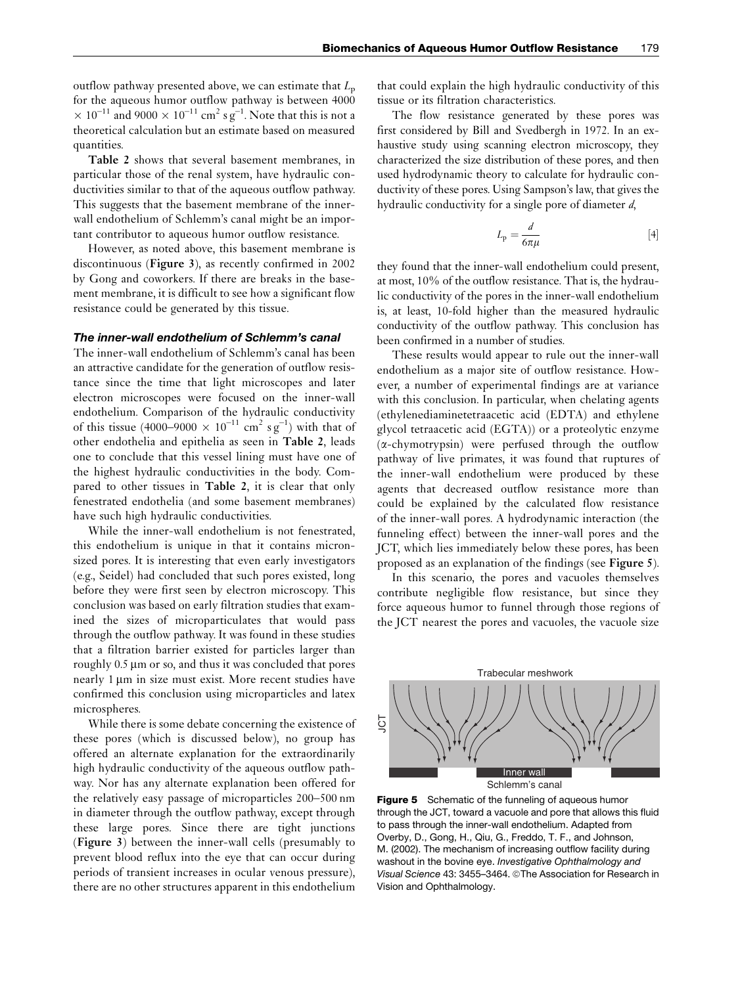outflow pathway presented above, we can estimate that  $L_p$ for the aqueous humor outflow pathway is between  $4000$  $\times 10^{-11}$  and 9000  $\times 10^{-11}$  cm<sup>2</sup> s g<sup>-1</sup>. Note that this is not a theoretical calculation but an estimate based on measured quantities.

Table 2 shows that several basement membranes, in particular those of the renal system, have hydraulic conductivities similar to that of the aqueous outflow pathway. This suggests that the basement membrane of the innerwall endothelium of Schlemm's canal might be an important contributor to aqueous humor outflow resistance.

However, as noted above, this basement membrane is discontinuous (Figure 3), as recently confirmed in 2002 by Gong and coworkers. If there are breaks in the basement membrane, it is difficult to see how a significant flow resistance could be generated by this tissue.

#### The inner-wall endothelium of Schlemm's canal

The inner-wall endothelium of Schlemm's canal has been an attractive candidate for the generation of outflow resistance since the time that light microscopes and later electron microscopes were focused on the inner-wall endothelium. Comparison of the hydraulic conductivity of this tissue (4000–9000  $\times$  10<sup>-11</sup> cm<sup>2</sup> s g<sup>-1</sup>) with that of other endothelia and epithelia as seen in Table 2, leads one to conclude that this vessel lining must have one of the highest hydraulic conductivities in the body. Compared to other tissues in Table 2, it is clear that only fenestrated endothelia (and some basement membranes) have such high hydraulic conductivities.

While the inner-wall endothelium is not fenestrated, this endothelium is unique in that it contains micronsized pores. It is interesting that even early investigators (e.g., Seidel) had concluded that such pores existed, long before they were first seen by electron microscopy. This conclusion was based on early filtration studies that examined the sizes of microparticulates that would pass through the outflow pathway. It was found in these studies that a filtration barrier existed for particles larger than roughly  $0.5 \mu m$  or so, and thus it was concluded that pores nearly 1 µm in size must exist. More recent studies have confirmed this conclusion using microparticles and latex microspheres.

While there is some debate concerning the existence of these pores (which is discussed below), no group has offered an alternate explanation for the extraordinarily high hydraulic conductivity of the aqueous outflow pathway. Nor has any alternate explanation been offered for the relatively easy passage of microparticles 200–500 nm in diameter through the outflow pathway, except through these large pores. Since there are tight junctions (Figure 3) between the inner-wall cells (presumably to prevent blood reflux into the eye that can occur during periods of transient increases in ocular venous pressure), there are no other structures apparent in this endothelium

that could explain the high hydraulic conductivity of this tissue or its filtration characteristics.

The flow resistance generated by these pores was first considered by Bill and Svedbergh in 1972. In an exhaustive study using scanning electron microscopy, they characterized the size distribution of these pores, and then used hydrodynamic theory to calculate for hydraulic conductivity of these pores. Using Sampson's law, that gives the hydraulic conductivity for a single pore of diameter  $d$ ,

$$
L_{\rm p} = \frac{d}{6\pi\mu} \tag{4}
$$

they found that the inner-wall endothelium could present, at most, 10% of the outflow resistance. That is, the hydraulic conductivity of the pores in the inner-wall endothelium is, at least, 10-fold higher than the measured hydraulic conductivity of the outflow pathway. This conclusion has been confirmed in a number of studies.

These results would appear to rule out the inner-wall endothelium as a major site of outflow resistance. However, a number of experimental findings are at variance with this conclusion. In particular, when chelating agents (ethylenediaminetetraacetic acid (EDTA) and ethylene glycol tetraacetic acid (EGTA)) or a proteolytic enzyme (a-chymotrypsin) were perfused through the outflow pathway of live primates, it was found that ruptures of the inner-wall endothelium were produced by these agents that decreased outflow resistance more than could be explained by the calculated flow resistance of the inner-wall pores. A hydrodynamic interaction (the funneling effect) between the inner-wall pores and the JCT, which lies immediately below these pores, has been proposed as an explanation of the findings (see Figure 5).

In this scenario, the pores and vacuoles themselves contribute negligible flow resistance, but since they force aqueous humor to funnel through those regions of the JCT nearest the pores and vacuoles, the vacuole size



**Figure 5** Schematic of the funneling of aqueous humor through the JCT, toward a vacuole and pore that allows this fluid to pass through the inner-wall endothelium. Adapted from Overby, D., Gong, H., Qiu, G., Freddo, T. F., and Johnson, M. (2002). The mechanism of increasing outflow facility during washout in the bovine eye. Investigative Ophthalmology and Visual Science 43: 3455-3464. © The Association for Research in Vision and Ophthalmology.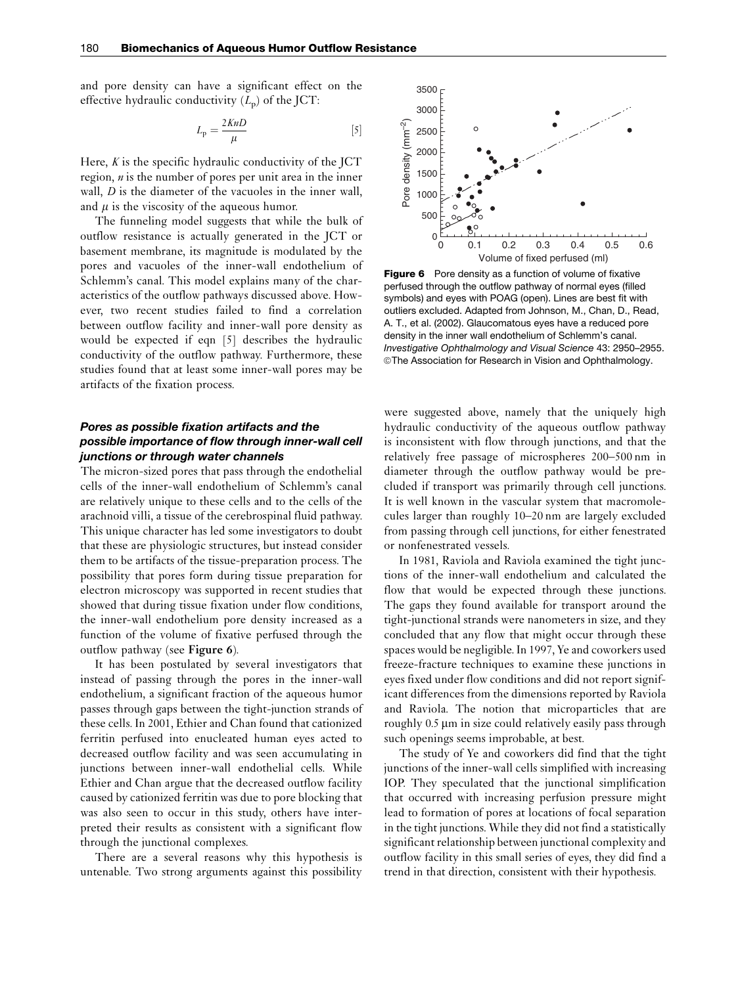and pore density can have a significant effect on the effective hydraulic conductivity  $(L_n)$  of the JCT:

$$
L_{\rm p} = \frac{2KnD}{\mu} \tag{5}
$$

Here,  $K$  is the specific hydraulic conductivity of the JCT region, *n* is the number of pores per unit area in the inner wall, *D* is the diameter of the vacuoles in the inner wall, and  $\mu$  is the viscosity of the aqueous humor.

The funneling model suggests that while the bulk of outflow resistance is actually generated in the JCT or basement membrane, its magnitude is modulated by the pores and vacuoles of the inner-wall endothelium of Schlemm's canal. This model explains many of the characteristics of the outflow pathways discussed above. However, two recent studies failed to find a correlation between outflow facility and inner-wall pore density as would be expected if eqn [5] describes the hydraulic conductivity of the outflow pathway. Furthermore, these studies found that at least some inner-wall pores may be artifacts of the fixation process.

## Pores as possible fixation artifacts and the possible importance of flow through inner-wall cell junctions or through water channels

The micron-sized pores that pass through the endothelial cells of the inner-wall endothelium of Schlemm's canal are relatively unique to these cells and to the cells of the arachnoid villi, a tissue of the cerebrospinal fluid pathway. This unique character has led some investigators to doubt that these are physiologic structures, but instead consider them to be artifacts of the tissue-preparation process. The possibility that pores form during tissue preparation for electron microscopy was supported in recent studies that showed that during tissue fixation under flow conditions, the inner-wall endothelium pore density increased as a function of the volume of fixative perfused through the outflow pathway (see Figure 6).

It has been postulated by several investigators that instead of passing through the pores in the inner-wall endothelium, a significant fraction of the aqueous humor passes through gaps between the tight-junction strands of these cells. In 2001, Ethier and Chan found that cationized ferritin perfused into enucleated human eyes acted to decreased outflow facility and was seen accumulating in junctions between inner-wall endothelial cells. While Ethier and Chan argue that the decreased outflow facility caused by cationized ferritin was due to pore blocking that was also seen to occur in this study, others have interpreted their results as consistent with a significant flow through the junctional complexes.

There are a several reasons why this hypothesis is untenable. Two strong arguments against this possibility



Figure 6 Pore density as a function of volume of fixative perfused through the outflow pathway of normal eyes (filled symbols) and eyes with POAG (open). Lines are best fit with outliers excluded. Adapted from Johnson, M., Chan, D., Read, A. T., et al. (2002). Glaucomatous eyes have a reduced pore density in the inner wall endothelium of Schlemm's canal. Investigative Ophthalmology and Visual Science 43: 2950–2955. ©The Association for Research in Vision and Ophthalmology.

were suggested above, namely that the uniquely high hydraulic conductivity of the aqueous outflow pathway is inconsistent with flow through junctions, and that the relatively free passage of microspheres 200–500 nm in diameter through the outflow pathway would be precluded if transport was primarily through cell junctions. It is well known in the vascular system that macromolecules larger than roughly 10–20 nm are largely excluded from passing through cell junctions, for either fenestrated or nonfenestrated vessels.

In 1981, Raviola and Raviola examined the tight junctions of the inner-wall endothelium and calculated the flow that would be expected through these junctions. The gaps they found available for transport around the tight-junctional strands were nanometers in size, and they concluded that any flow that might occur through these spaces would be negligible. In 1997, Ye and coworkers used freeze-fracture techniques to examine these junctions in eyes fixed under flow conditions and did not report significant differences from the dimensions reported by Raviola and Raviola. The notion that microparticles that are roughly 0.5 µm in size could relatively easily pass through such openings seems improbable, at best.

The study of Ye and coworkers did find that the tight junctions of the inner-wall cells simplified with increasing IOP. They speculated that the junctional simplification that occurred with increasing perfusion pressure might lead to formation of pores at locations of focal separation in the tight junctions. While they did not find a statistically significant relationship between junctional complexity and outflow facility in this small series of eyes, they did find a trend in that direction, consistent with their hypothesis.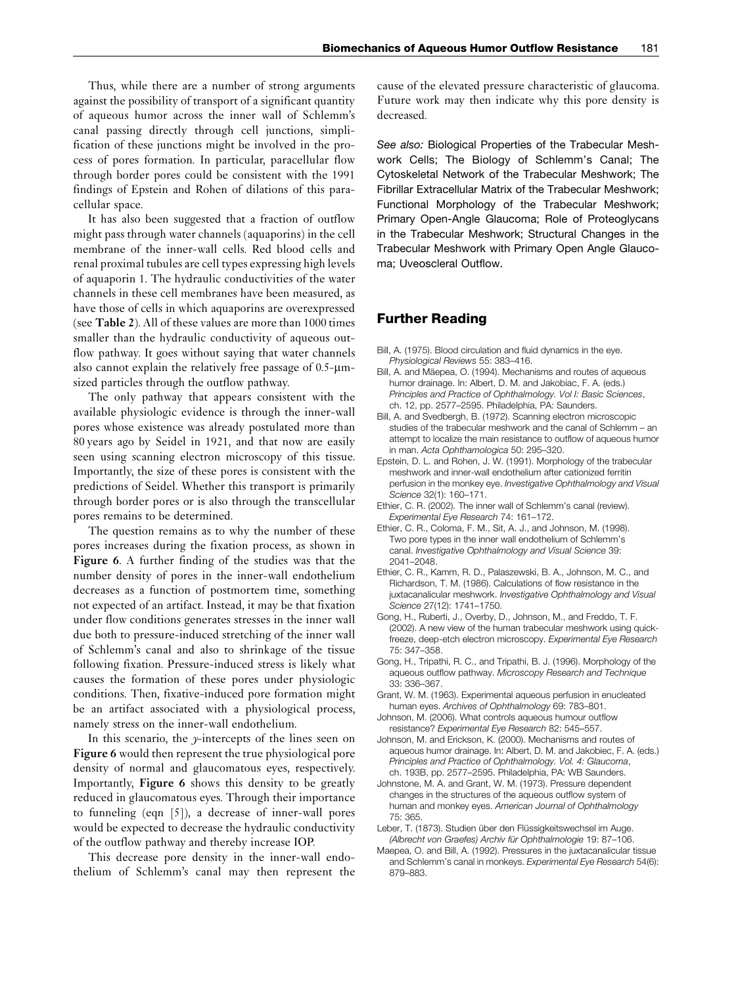Thus, while there are a number of strong arguments against the possibility of transport of a significant quantity of aqueous humor across the inner wall of Schlemm's canal passing directly through cell junctions, simplification of these junctions might be involved in the process of pores formation. In particular, paracellular flow through border pores could be consistent with the 1991 findings of Epstein and Rohen of dilations of this paracellular space.

It has also been suggested that a fraction of outflow might pass through water channels (aquaporins) in the cell membrane of the inner-wall cells. Red blood cells and renal proximal tubules are cell types expressing high levels of aquaporin 1. The hydraulic conductivities of the water channels in these cell membranes have been measured, as have those of cells in which aquaporins are overexpressed (see Table 2). All of these values are more than 1000 times smaller than the hydraulic conductivity of aqueous outflow pathway. It goes without saying that water channels also cannot explain the relatively free passage of  $0.5$ - $\mu$ msized particles through the outflow pathway.

The only pathway that appears consistent with the available physiologic evidence is through the inner-wall pores whose existence was already postulated more than 80 years ago by Seidel in 1921, and that now are easily seen using scanning electron microscopy of this tissue. Importantly, the size of these pores is consistent with the predictions of Seidel. Whether this transport is primarily through border pores or is also through the transcellular pores remains to be determined.

The question remains as to why the number of these pores increases during the fixation process, as shown in Figure 6. A further finding of the studies was that the number density of pores in the inner-wall endothelium decreases as a function of postmortem time, something not expected of an artifact. Instead, it may be that fixation under flow conditions generates stresses in the inner wall due both to pressure-induced stretching of the inner wall of Schlemm's canal and also to shrinkage of the tissue following fixation. Pressure-induced stress is likely what causes the formation of these pores under physiologic conditions. Then, fixative-induced pore formation might be an artifact associated with a physiological process, namely stress on the inner-wall endothelium.

In this scenario, the  $y$ -intercepts of the lines seen on Figure 6 would then represent the true physiological pore density of normal and glaucomatous eyes, respectively. Importantly, Figure 6 shows this density to be greatly reduced in glaucomatous eyes. Through their importance to funneling (eqn [5]), a decrease of inner-wall pores would be expected to decrease the hydraulic conductivity of the outflow pathway and thereby increase IOP.

This decrease pore density in the inner-wall endothelium of Schlemm's canal may then represent the cause of the elevated pressure characteristic of glaucoma. Future work may then indicate why this pore density is decreased.

See also: Biological Properties of the Trabecular Meshwork Cells; The Biology of Schlemm's Canal; The Cytoskeletal Network of the Trabecular Meshwork; The Fibrillar Extracellular Matrix of the Trabecular Meshwork; Functional Morphology of the Trabecular Meshwork; Primary Open-Angle Glaucoma; Role of Proteoglycans in the Trabecular Meshwork; Structural Changes in the Trabecular Meshwork with Primary Open Angle Glaucoma; Uveoscleral Outflow.

## Further Reading

- Bill, A. (1975). Blood circulation and fluid dynamics in the eye. Physiological Reviews 55: 383–416.
- Bill, A. and Mäepea, O. (1994). Mechanisms and routes of aqueous humor drainage. In: Albert, D. M. and Jakobiac, F. A. (eds.) Principles and Practice of Ophthalmology. Vol I: Basic Sciences, ch. 12, pp. 2577–2595. Philadelphia, PA: Saunders.
- Bill, A. and Svedbergh, B. (1972). Scanning electron microscopic studies of the trabecular meshwork and the canal of Schlemm – an attempt to localize the main resistance to outflow of aqueous humor in man. Acta Ophthamologica 50: 295–320.
- Epstein, D. L. and Rohen, J. W. (1991). Morphology of the trabecular meshwork and inner-wall endothelium after cationized ferritin perfusion in the monkey eye. Investigative Ophthalmology and Visual Science 32(1): 160–171.
- Ethier, C. R. (2002). The inner wall of Schlemm's canal (review). Experimental Eye Research 74: 161–172.
- Ethier, C. R., Coloma, F. M., Sit, A. J., and Johnson, M. (1998). Two pore types in the inner wall endothelium of Schlemm's canal. Investigative Ophthalmology and Visual Science 39: 2041–2048.
- Ethier, C. R., Kamm, R. D., Palaszewski, B. A., Johnson, M. C., and Richardson, T. M. (1986). Calculations of flow resistance in the juxtacanalicular meshwork. Investigative Ophthalmology and Visual Science 27(12): 1741–1750.
- Gong, H., Ruberti, J., Overby, D., Johnson, M., and Freddo, T. F. (2002). A new view of the human trabecular meshwork using quickfreeze, deep-etch electron microscopy. Experimental Eye Research 75: 347–358.
- Gong, H., Tripathi, R. C., and Tripathi, B. J. (1996). Morphology of the aqueous outflow pathway. Microscopy Research and Technique 33: 336–367.
- Grant, W. M. (1963). Experimental aqueous perfusion in enucleated human eyes. Archives of Ophthalmology 69: 783–801.
- Johnson, M. (2006). What controls aqueous humour outflow resistance? Experimental Eye Research 82: 545–557.
- Johnson, M. and Erickson, K. (2000). Mechanisms and routes of aqueous humor drainage. In: Albert, D. M. and Jakobiec, F. A. (eds.) Principles and Practice of Ophthalmology. Vol. 4: Glaucoma, ch. 193B, pp. 2577–2595. Philadelphia, PA: WB Saunders.
- Johnstone, M. A. and Grant, W. M. (1973). Pressure dependent changes in the structures of the aqueous outflow system of human and monkey eyes. American Journal of Ophthalmology 75: 365.
- Leber, T. (1873). Studien über den Flüssigkeitswechsel im Auge. (Albrecht von Graefes) Archiv für Ophthalmologie 19: 87-106.
- Maepea, O. and Bill, A. (1992). Pressures in the juxtacanalicular tissue and Schlemm's canal in monkeys. Experimental Eye Research 54(6): 879–883.